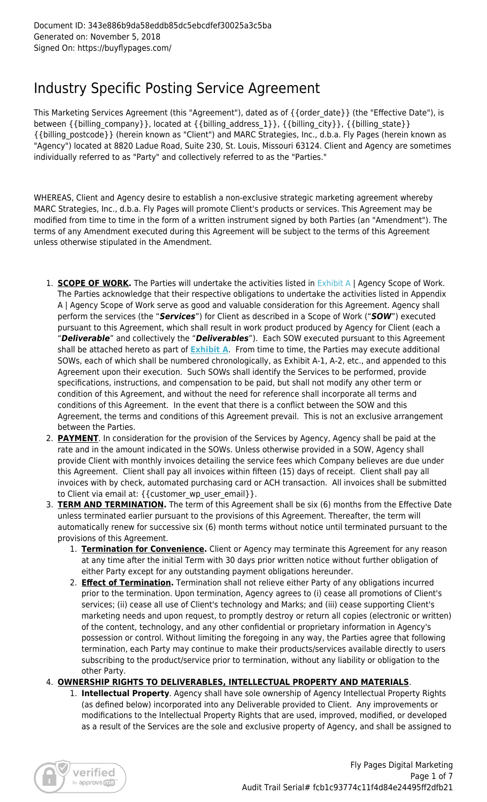# Industry Specific Posting Service Agreement

This Marketing Services Agreement (this "Agreement"), dated as of {{order\_date}} (the "Effective Date"), is between {{billing\_company}}, located at {{billing\_address\_1}}, {{billing\_city}}, {{billing\_state}} {{billing\_postcode}} (herein known as "Client") and MARC Strategies, Inc., d.b.a. Fly Pages (herein known as "Agency") located at 8820 Ladue Road, Suite 230, St. Louis, Missouri 63124. Client and Agency are sometimes individually referred to as "Party" and collectively referred to as the "Parties."

WHEREAS, Client and Agency desire to establish a non-exclusive strategic marketing agreement whereby MARC Strategies, Inc., d.b.a. Fly Pages will promote Client's products or services. This Agreement may be modified from time to time in the form of a written instrument signed by both Parties (an "Amendment"). The terms of any Amendment executed during this Agreement will be subject to the terms of this Agreement unless otherwise stipulated in the Amendment.

- 1. **SCOPE OF WORK.** The Parties will undertake the activities listed in [Exhibit A](http://marcfly.staging.wpengine.com/sow-social-media-management) | Agency Scope of Work. The Parties acknowledge that their respective obligations to undertake the activities listed in Appendix A | Agency Scope of Work serve as good and valuable consideration for this Agreement. Agency shall perform the services (the "*Services*") for Client as described in a Scope of Work ("*SOW*") executed pursuant to this Agreement, which shall result in work product produced by Agency for Client (each a "*Deliverable*" and collectively the "*Deliverables*"). Each SOW executed pursuant to this Agreement shall be attached hereto as part of **[Exhibit A](http://marcfly.staging.wpengine.com/sow-social-media-management)**. From time to time, the Parties may execute additional SOWs, each of which shall be numbered chronologically, as Exhibit A-1, A-2, etc., and appended to this Agreement upon their execution. Such SOWs shall identify the Services to be performed, provide specifications, instructions, and compensation to be paid, but shall not modify any other term or condition of this Agreement, and without the need for reference shall incorporate all terms and conditions of this Agreement. In the event that there is a conflict between the SOW and this Agreement, the terms and conditions of this Agreement prevail. This is not an exclusive arrangement between the Parties.
- 2. **PAYMENT**. In consideration for the provision of the Services by Agency, Agency shall be paid at the rate and in the amount indicated in the SOWs. Unless otherwise provided in a SOW, Agency shall provide Client with monthly invoices detailing the service fees which Company believes are due under this Agreement. Client shall pay all invoices within fifteen (15) days of receipt. Client shall pay all invoices with by check, automated purchasing card or ACH transaction. All invoices shall be submitted to Client via email at: {{customer\_wp\_user\_email}}.
- 3. **TERM AND TERMINATION.** The term of this Agreement shall be six (6) months from the Effective Date unless terminated earlier pursuant to the provisions of this Agreement. Thereafter, the term will automatically renew for successive six (6) month terms without notice until terminated pursuant to the provisions of this Agreement.
	- 1. **Termination for Convenience.** Client or Agency may terminate this Agreement for any reason at any time after the initial Term with 30 days prior written notice without further obligation of either Party except for any outstanding payment obligations hereunder.
	- 2. **Effect of Termination.** Termination shall not relieve either Party of any obligations incurred prior to the termination. Upon termination, Agency agrees to (i) cease all promotions of Client's services; (ii) cease all use of Client's technology and Marks; and (iii) cease supporting Client's marketing needs and upon request, to promptly destroy or return all copies (electronic or written) of the content, technology, and any other confidential or proprietary information in Agency's possession or control. Without limiting the foregoing in any way, the Parties agree that following termination, each Party may continue to make their products/services available directly to users subscribing to the product/service prior to termination, without any liability or obligation to the other Party.
- 4. **OWNERSHIP RIGHTS TO DELIVERABLES, INTELLECTUAL PROPERTY AND MATERIALS**.
	- 1. **Intellectual Property**. Agency shall have sole ownership of Agency Intellectual Property Rights (as defined below) incorporated into any Deliverable provided to Client. Any improvements or modifications to the Intellectual Property Rights that are used, improved, modified, or developed as a result of the Services are the sole and exclusive property of Agency, and shall be assigned to

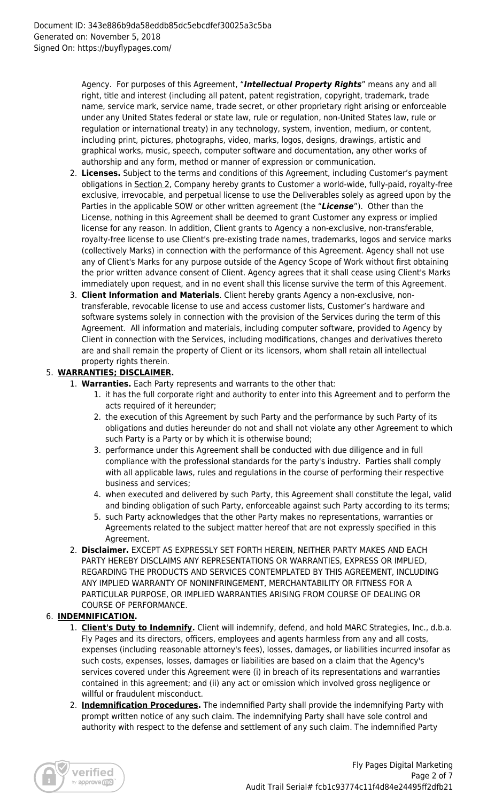Agency. For purposes of this Agreement, "*Intellectual Property Rights*" means any and all right, title and interest (including all patent, patent registration, copyright, trademark, trade name, service mark, service name, trade secret, or other proprietary right arising or enforceable under any United States federal or state law, rule or regulation, non-United States law, rule or regulation or international treaty) in any technology, system, invention, medium, or content, including print, pictures, photographs, video, marks, logos, designs, drawings, artistic and graphical works, music, speech, computer software and documentation, any other works of authorship and any form, method or manner of expression or communication.

- 2. **Licenses.** Subject to the terms and conditions of this Agreement, including Customer's payment obligations in Section 2, Company hereby grants to Customer a world-wide, fully-paid, royalty-free exclusive, irrevocable, and perpetual license to use the Deliverables solely as agreed upon by the Parties in the applicable SOW or other written agreement (the "*License*"). Other than the License, nothing in this Agreement shall be deemed to grant Customer any express or implied license for any reason. In addition, Client grants to Agency a non-exclusive, non-transferable, royalty-free license to use Client's pre-existing trade names, trademarks, logos and service marks (collectively Marks) in connection with the performance of this Agreement. Agency shall not use any of Client's Marks for any purpose outside of the Agency Scope of Work without first obtaining the prior written advance consent of Client. Agency agrees that it shall cease using Client's Marks immediately upon request, and in no event shall this license survive the term of this Agreement.
- 3. **Client Information and Materials**. Client hereby grants Agency a non-exclusive, nontransferable, revocable license to use and access customer lists, Customer's hardware and software systems solely in connection with the provision of the Services during the term of this Agreement. All information and materials, including computer software, provided to Agency by Client in connection with the Services, including modifications, changes and derivatives thereto are and shall remain the property of Client or its licensors, whom shall retain all intellectual property rights therein.

# 5. **WARRANTIES; DISCLAIMER.**

- 1. **Warranties.** Each Party represents and warrants to the other that:
	- 1. it has the full corporate right and authority to enter into this Agreement and to perform the acts required of it hereunder;
	- 2. the execution of this Agreement by such Party and the performance by such Party of its obligations and duties hereunder do not and shall not violate any other Agreement to which such Party is a Party or by which it is otherwise bound;
	- 3. performance under this Agreement shall be conducted with due diligence and in full compliance with the professional standards for the party's industry. Parties shall comply with all applicable laws, rules and regulations in the course of performing their respective business and services;
	- 4. when executed and delivered by such Party, this Agreement shall constitute the legal, valid and binding obligation of such Party, enforceable against such Party according to its terms;
	- 5. such Party acknowledges that the other Party makes no representations, warranties or Agreements related to the subject matter hereof that are not expressly specified in this Agreement.
- 2. **Disclaimer.** EXCEPT AS EXPRESSLY SET FORTH HEREIN, NEITHER PARTY MAKES AND EACH PARTY HEREBY DISCLAIMS ANY REPRESENTATIONS OR WARRANTIES, EXPRESS OR IMPLIED, REGARDING THE PRODUCTS AND SERVICES CONTEMPLATED BY THIS AGREEMENT, INCLUDING ANY IMPLIED WARRANTY OF NONINFRINGEMENT, MERCHANTABILITY OR FITNESS FOR A PARTICULAR PURPOSE, OR IMPLIED WARRANTIES ARISING FROM COURSE OF DEALING OR COURSE OF PERFORMANCE.

## 6. **INDEMNIFICATION.**

- 1. **Client's Duty to Indemnify.** Client will indemnify, defend, and hold MARC Strategies, Inc., d.b.a. Fly Pages and its directors, officers, employees and agents harmless from any and all costs, expenses (including reasonable attorney's fees), losses, damages, or liabilities incurred insofar as such costs, expenses, losses, damages or liabilities are based on a claim that the Agency's services covered under this Agreement were (i) in breach of its representations and warranties contained in this agreement; and (ii) any act or omission which involved gross negligence or willful or fraudulent misconduct.
- 2. **Indemnification Procedures.** The indemnified Party shall provide the indemnifying Party with prompt written notice of any such claim. The indemnifying Party shall have sole control and authority with respect to the defense and settlement of any such claim. The indemnified Party

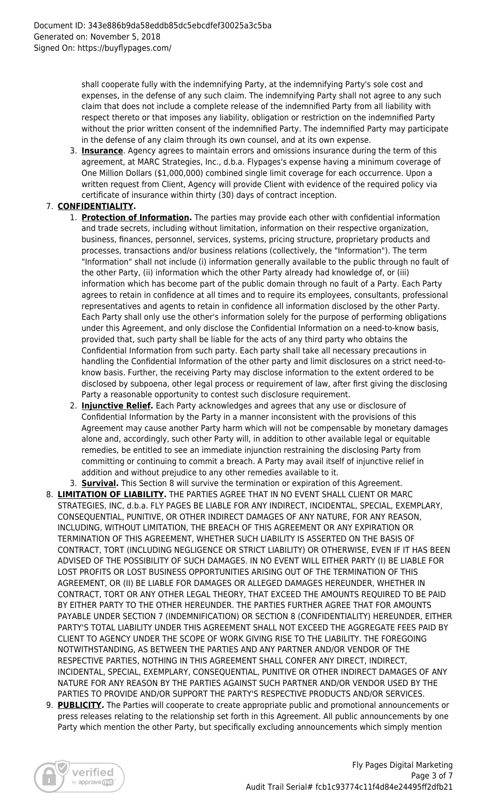shall cooperate fully with the indemnifying Party, at the indemnifying Party's sole cost and expenses, in the defense of any such claim. The indemnifying Party shall not agree to any such claim that does not include a complete release of the indemnified Party from all liability with respect thereto or that imposes any liability, obligation or restriction on the indemnified Party without the prior written consent of the indemnified Party. The indemnified Party may participate in the defense of any claim through its own counsel, and at its own expense.

3. **Insurance**. Agency agrees to maintain errors and omissions insurance during the term of this agreement, at MARC Strategies, Inc., d.b.a. Flypages's expense having a minimum coverage of One Million Dollars (\$1,000,000) combined single limit coverage for each occurrence. Upon a written request from Client, Agency will provide Client with evidence of the required policy via certificate of insurance within thirty (30) days of contract inception.

# 7. **CONFIDENTIALITY.**

- 1. **Protection of Information.** The parties may provide each other with confidential information and trade secrets, including without limitation, information on their respective organization, business, finances, personnel, services, systems, pricing structure, proprietary products and processes, transactions and/or business relations (collectively, the "Information"). The term "Information" shall not include (i) information generally available to the public through no fault of the other Party, (ii) information which the other Party already had knowledge of, or (iii) information which has become part of the public domain through no fault of a Party. Each Party agrees to retain in confidence at all times and to require its employees, consultants, professional representatives and agents to retain in confidence all information disclosed by the other Party. Each Party shall only use the other's information solely for the purpose of performing obligations under this Agreement, and only disclose the Confidential Information on a need-to-know basis, provided that, such party shall be liable for the acts of any third party who obtains the Confidential Information from such party. Each party shall take all necessary precautions in handling the Confidential Information of the other party and limit disclosures on a strict need-toknow basis. Further, the receiving Party may disclose information to the extent ordered to be disclosed by subpoena, other legal process or requirement of law, after first giving the disclosing Party a reasonable opportunity to contest such disclosure requirement.
- 2. **Injunctive Relief.** Each Party acknowledges and agrees that any use or disclosure of Confidential Information by the Party in a manner inconsistent with the provisions of this Agreement may cause another Party harm which will not be compensable by monetary damages alone and, accordingly, such other Party will, in addition to other available legal or equitable remedies, be entitled to see an immediate injunction restraining the disclosing Party from committing or continuing to commit a breach. A Party may avail itself of injunctive relief in addition and without prejudice to any other remedies available to it.
- 3. **Survival.** This Section 8 will survive the termination or expiration of this Agreement.
- 8. **LIMITATION OF LIABILITY.** THE PARTIES AGREE THAT IN NO EVENT SHALL CLIENT OR MARC STRATEGIES, INC, d.b.a. FLY PAGES BE LIABLE FOR ANY INDIRECT, INCIDENTAL, SPECIAL, EXEMPLARY, CONSEQUENTIAL, PUNITIVE, OR OTHER INDIRECT DAMAGES OF ANY NATURE, FOR ANY REASON, INCLUDING, WITHOUT LIMITATION, THE BREACH OF THIS AGREEMENT OR ANY EXPIRATION OR TERMINATION OF THIS AGREEMENT, WHETHER SUCH LIABILITY IS ASSERTED ON THE BASIS OF CONTRACT, TORT (INCLUDING NEGLIGENCE OR STRICT LIABILITY) OR OTHERWISE, EVEN IF IT HAS BEEN ADVISED OF THE POSSIBILITY OF SUCH DAMAGES. IN NO EVENT WILL EITHER PARTY (I) BE LIABLE FOR LOST PROFITS OR LOST BUSINESS OPPORTUNITIES ARISING OUT OF THE TERMINATION OF THIS AGREEMENT, OR (II) BE LIABLE FOR DAMAGES OR ALLEGED DAMAGES HEREUNDER, WHETHER IN CONTRACT, TORT OR ANY OTHER LEGAL THEORY, THAT EXCEED THE AMOUNTS REQUIRED TO BE PAID BY EITHER PARTY TO THE OTHER HEREUNDER. THE PARTIES FURTHER AGREE THAT FOR AMOUNTS PAYABLE UNDER SECTION 7 (INDEMNIFICATION) OR SECTION 8 (CONFIDENTIALITY) HEREUNDER, EITHER PARTY'S TOTAL LIABILITY UNDER THIS AGREEMENT SHALL NOT EXCEED THE AGGREGATE FEES PAID BY CLIENT TO AGENCY UNDER THE SCOPE OF WORK GIVING RISE TO THE LIABILITY. THE FOREGOING NOTWITHSTANDING, AS BETWEEN THE PARTIES AND ANY PARTNER AND/OR VENDOR OF THE RESPECTIVE PARTIES, NOTHING IN THIS AGREEMENT SHALL CONFER ANY DIRECT, INDIRECT, INCIDENTAL, SPECIAL, EXEMPLARY, CONSEQUENTIAL, PUNITIVE OR OTHER INDIRECT DAMAGES OF ANY NATURE FOR ANY REASON BY THE PARTIES AGAINST SUCH PARTNER AND/OR VENDOR USED BY THE PARTIES TO PROVIDE AND/OR SUPPORT THE PARTY'S RESPECTIVE PRODUCTS AND/OR SERVICES.
- 9. **PUBLICITY.** The Parties will cooperate to create appropriate public and promotional announcements or press releases relating to the relationship set forth in this Agreement. All public announcements by one Party which mention the other Party, but specifically excluding announcements which simply mention

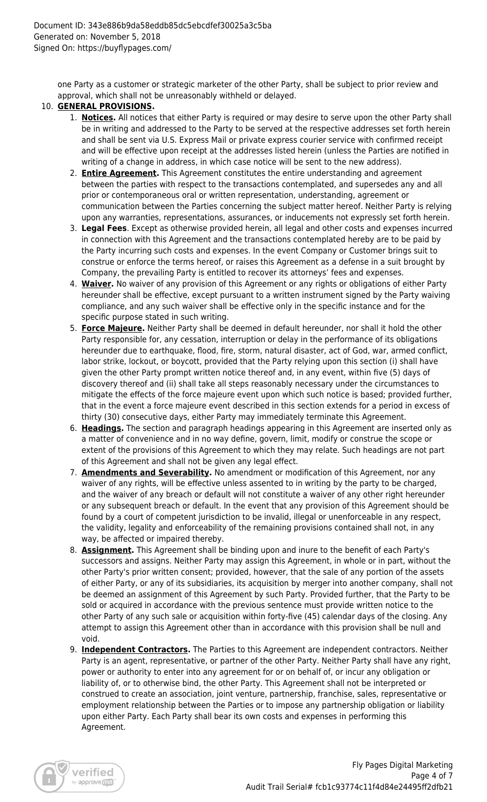one Party as a customer or strategic marketer of the other Party, shall be subject to prior review and approval, which shall not be unreasonably withheld or delayed.

#### 10. **GENERAL PROVISIONS.**

- 1. **Notices.** All notices that either Party is required or may desire to serve upon the other Party shall be in writing and addressed to the Party to be served at the respective addresses set forth herein and shall be sent via U.S. Express Mail or private express courier service with confirmed receipt and will be effective upon receipt at the addresses listed herein (unless the Parties are notified in writing of a change in address, in which case notice will be sent to the new address).
- 2. **Entire Agreement.** This Agreement constitutes the entire understanding and agreement between the parties with respect to the transactions contemplated, and supersedes any and all prior or contemporaneous oral or written representation, understanding, agreement or communication between the Parties concerning the subject matter hereof. Neither Party is relying upon any warranties, representations, assurances, or inducements not expressly set forth herein.
- 3. **Legal Fees**. Except as otherwise provided herein, all legal and other costs and expenses incurred in connection with this Agreement and the transactions contemplated hereby are to be paid by the Party incurring such costs and expenses. In the event Company or Customer brings suit to construe or enforce the terms hereof, or raises this Agreement as a defense in a suit brought by Company, the prevailing Party is entitled to recover its attorneys' fees and expenses.
- 4. **Waiver.** No waiver of any provision of this Agreement or any rights or obligations of either Party hereunder shall be effective, except pursuant to a written instrument signed by the Party waiving compliance, and any such waiver shall be effective only in the specific instance and for the specific purpose stated in such writing.
- 5. **Force Majeure.** Neither Party shall be deemed in default hereunder, nor shall it hold the other Party responsible for, any cessation, interruption or delay in the performance of its obligations hereunder due to earthquake, flood, fire, storm, natural disaster, act of God, war, armed conflict, labor strike, lockout, or boycott, provided that the Party relying upon this section (i) shall have given the other Party prompt written notice thereof and, in any event, within five (5) days of discovery thereof and (ii) shall take all steps reasonably necessary under the circumstances to mitigate the effects of the force majeure event upon which such notice is based; provided further, that in the event a force majeure event described in this section extends for a period in excess of thirty (30) consecutive days, either Party may immediately terminate this Agreement.
- 6. **Headings.** The section and paragraph headings appearing in this Agreement are inserted only as a matter of convenience and in no way define, govern, limit, modify or construe the scope or extent of the provisions of this Agreement to which they may relate. Such headings are not part of this Agreement and shall not be given any legal effect.
- 7. **Amendments and Severability.** No amendment or modification of this Agreement, nor any waiver of any rights, will be effective unless assented to in writing by the party to be charged, and the waiver of any breach or default will not constitute a waiver of any other right hereunder or any subsequent breach or default. In the event that any provision of this Agreement should be found by a court of competent jurisdiction to be invalid, illegal or unenforceable in any respect, the validity, legality and enforceability of the remaining provisions contained shall not, in any way, be affected or impaired thereby.
- 8. **Assignment.** This Agreement shall be binding upon and inure to the benefit of each Party's successors and assigns. Neither Party may assign this Agreement, in whole or in part, without the other Party's prior written consent; provided, however, that the sale of any portion of the assets of either Party, or any of its subsidiaries, its acquisition by merger into another company, shall not be deemed an assignment of this Agreement by such Party. Provided further, that the Party to be sold or acquired in accordance with the previous sentence must provide written notice to the other Party of any such sale or acquisition within forty-five (45) calendar days of the closing. Any attempt to assign this Agreement other than in accordance with this provision shall be null and void.
- 9. **Independent Contractors.** The Parties to this Agreement are independent contractors. Neither Party is an agent, representative, or partner of the other Party. Neither Party shall have any right, power or authority to enter into any agreement for or on behalf of, or incur any obligation or liability of, or to otherwise bind, the other Party. This Agreement shall not be interpreted or construed to create an association, joint venture, partnership, franchise, sales, representative or employment relationship between the Parties or to impose any partnership obligation or liability upon either Party. Each Party shall bear its own costs and expenses in performing this Agreement.

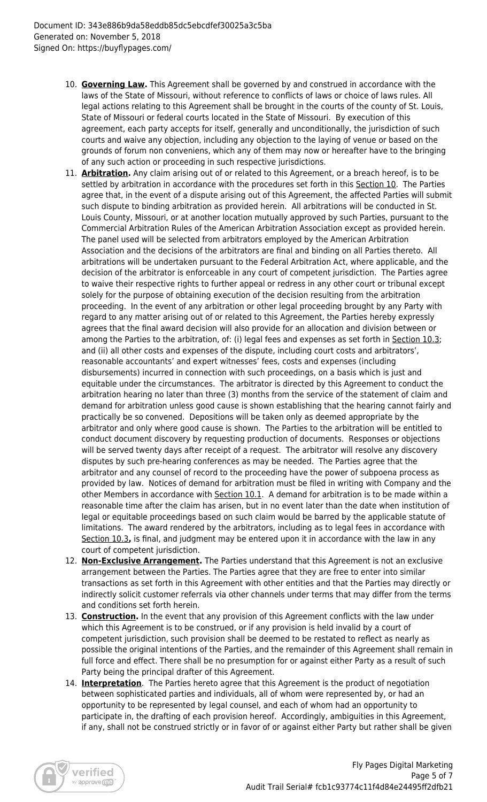- 10. **Governing Law.** This Agreement shall be governed by and construed in accordance with the laws of the State of Missouri, without reference to conflicts of laws or choice of laws rules. All legal actions relating to this Agreement shall be brought in the courts of the county of St. Louis, State of Missouri or federal courts located in the State of Missouri. By execution of this agreement, each party accepts for itself, generally and unconditionally, the jurisdiction of such courts and waive any objection, including any objection to the laying of venue or based on the grounds of forum non conveniens, which any of them may now or hereafter have to the bringing of any such action or proceeding in such respective jurisdictions.
- 11. **Arbitration.** Any claim arising out of or related to this Agreement, or a breach hereof, is to be settled by arbitration in accordance with the procedures set forth in this Section 10. The Parties agree that, in the event of a dispute arising out of this Agreement, the affected Parties will submit such dispute to binding arbitration as provided herein. All arbitrations will be conducted in St. Louis County, Missouri, or at another location mutually approved by such Parties, pursuant to the Commercial Arbitration Rules of the American Arbitration Association except as provided herein. The panel used will be selected from arbitrators employed by the American Arbitration Association and the decisions of the arbitrators are final and binding on all Parties thereto. All arbitrations will be undertaken pursuant to the Federal Arbitration Act, where applicable, and the decision of the arbitrator is enforceable in any court of competent jurisdiction. The Parties agree to waive their respective rights to further appeal or redress in any other court or tribunal except solely for the purpose of obtaining execution of the decision resulting from the arbitration proceeding. In the event of any arbitration or other legal proceeding brought by any Party with regard to any matter arising out of or related to this Agreement, the Parties hereby expressly agrees that the final award decision will also provide for an allocation and division between or among the Parties to the arbitration, of: (i) legal fees and expenses as set forth in Section 10.3; and (ii) all other costs and expenses of the dispute, including court costs and arbitrators', reasonable accountants' and expert witnesses' fees, costs and expenses (including disbursements) incurred in connection with such proceedings, on a basis which is just and equitable under the circumstances. The arbitrator is directed by this Agreement to conduct the arbitration hearing no later than three (3) months from the service of the statement of claim and demand for arbitration unless good cause is shown establishing that the hearing cannot fairly and practically be so convened. Depositions will be taken only as deemed appropriate by the arbitrator and only where good cause is shown. The Parties to the arbitration will be entitled to conduct document discovery by requesting production of documents. Responses or objections will be served twenty days after receipt of a request. The arbitrator will resolve any discovery disputes by such pre-hearing conferences as may be needed. The Parties agree that the arbitrator and any counsel of record to the proceeding have the power of subpoena process as provided by law. Notices of demand for arbitration must be filed in writing with Company and the other Members in accordance with Section 10.1. A demand for arbitration is to be made within a reasonable time after the claim has arisen, but in no event later than the date when institution of legal or equitable proceedings based on such claim would be barred by the applicable statute of limitations. The award rendered by the arbitrators, including as to legal fees in accordance with Section 10.3**,** is final, and judgment may be entered upon it in accordance with the law in any court of competent jurisdiction.
- 12. **Non-Exclusive Arrangement.** The Parties understand that this Agreement is not an exclusive arrangement between the Parties. The Parties agree that they are free to enter into similar transactions as set forth in this Agreement with other entities and that the Parties may directly or indirectly solicit customer referrals via other channels under terms that may differ from the terms and conditions set forth herein.
- 13. **Construction.** In the event that any provision of this Agreement conflicts with the law under which this Agreement is to be construed, or if any provision is held invalid by a court of competent jurisdiction, such provision shall be deemed to be restated to reflect as nearly as possible the original intentions of the Parties, and the remainder of this Agreement shall remain in full force and effect. There shall be no presumption for or against either Party as a result of such Party being the principal drafter of this Agreement.
- 14. **Interpretation**. The Parties hereto agree that this Agreement is the product of negotiation between sophisticated parties and individuals, all of whom were represented by, or had an opportunity to be represented by legal counsel, and each of whom had an opportunity to participate in, the drafting of each provision hereof. Accordingly, ambiguities in this Agreement, if any, shall not be construed strictly or in favor of or against either Party but rather shall be given

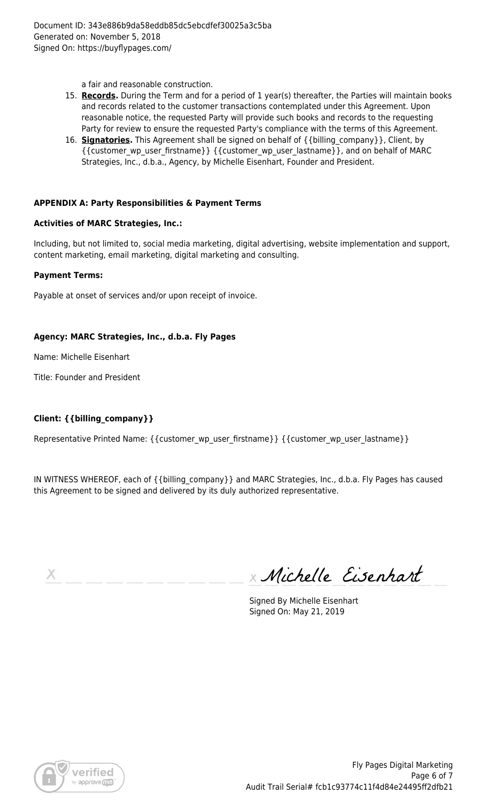a fair and reasonable construction.

- 15. **Records.** During the Term and for a period of 1 year(s) thereafter, the Parties will maintain books and records related to the customer transactions contemplated under this Agreement. Upon reasonable notice, the requested Party will provide such books and records to the requesting Party for review to ensure the requested Party's compliance with the terms of this Agreement.
- 16. **Signatories.** This Agreement shall be signed on behalf of {{billing\_company}}, Client, by {{customer\_wp\_user\_firstname}} {{customer\_wp\_user\_lastname}}, and on behalf of MARC Strategies, Inc., d.b.a., Agency, by Michelle Eisenhart, Founder and President.

#### **APPENDIX A: Party Responsibilities & Payment Terms**

#### **Activities of MARC Strategies, Inc.:**

Including, but not limited to, social media marketing, digital advertising, website implementation and support, content marketing, email marketing, digital marketing and consulting.

#### **Payment Terms:**

Payable at onset of services and/or upon receipt of invoice.

#### **Agency: MARC Strategies, Inc., d.b.a. Fly Pages**

Name: Michelle Eisenhart

Title: Founder and President

## **Client: {{billing\_company}}**

Representative Printed Name: { {customer\_wp\_user\_firstname} } { {customer\_wp\_user\_lastname } }

IN WITNESS WHEREOF, each of {{billing\_company}} and MARC Strategies, Inc., d.b.a. Fly Pages has caused this Agreement to be signed and delivered by its duly authorized representative.

х

Michelle Eisenhart

Signed By Michelle Eisenhart Signed On: May 21, 2019